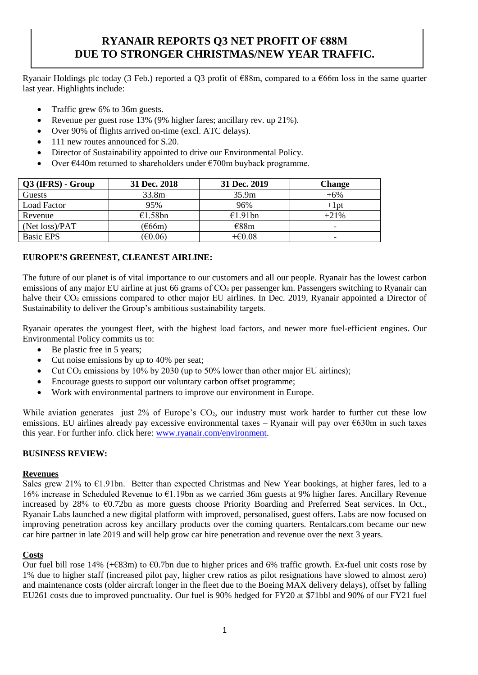# **RYANAIR REPORTS Q3 NET PROFIT OF €88M DUE TO STRONGER CHRISTMAS/NEW YEAR TRAFFIC.**

Ryanair Holdings plc today (3 Feb.) reported a Q3 profit of €88m, compared to a €66m loss in the same quarter last year. Highlights include:

- Traffic grew 6% to 36m guests.
- Revenue per guest rose 13% (9% higher fares; ancillary rev. up 21%).
- Over 90% of flights arrived on-time (excl. ATC delays).
- 111 new routes announced for S.20.
- Director of Sustainability appointed to drive our Environmental Policy.
- Over  $\epsilon$ 440m returned to shareholders under  $\epsilon$ 700m buyback programme.

| Q3 (IFRS) - Group  | 31 Dec. 2018      | 31 Dec. 2019 | <b>Change</b>            |
|--------------------|-------------------|--------------|--------------------------|
| Guests             | 33.8m             | 35.9m        | $+6\%$                   |
| <b>Load Factor</b> | 95%               | 96%          | $+1pt$                   |
| Revenue            | €1.58bn           | €1.91bn      | $+21%$                   |
| (Net loss)/PAT     | $\epsilon$ 66m)   | E88m         | $\overline{\phantom{0}}$ |
| <b>Basic EPS</b>   | $(\text{\e}0.06)$ | $+60.08$     | -                        |

# **EUROPE'S GREENEST, CLEANEST AIRLINE:**

The future of our planet is of vital importance to our customers and all our people. Ryanair has the lowest carbon emissions of any major EU airline at just 66 grams of CO<sub>2</sub> per passenger km. Passengers switching to Ryanair can halve their CO<sub>2</sub> emissions compared to other major EU airlines. In Dec. 2019, Ryanair appointed a Director of Sustainability to deliver the Group's ambitious sustainability targets.

Ryanair operates the youngest fleet, with the highest load factors, and newer more fuel-efficient engines. Our Environmental Policy commits us to:

- Be plastic free in 5 years;
- Cut noise emissions by up to 40% per seat;
- Cut  $CO<sub>2</sub>$  emissions by 10% by 2030 (up to 50% lower than other major EU airlines);
- Encourage guests to support our voluntary carbon offset programme;
- Work with environmental partners to improve our environment in Europe.

While aviation generates just 2% of Europe's CO<sub>2</sub>, our industry must work harder to further cut these low emissions. EU airlines already pay excessive environmental taxes – Ryanair will pay over €630m in such taxes this year. For further info. click here: [www.ryanair.com/environment.](http://www.ryanair.com/environment)

# **BUSINESS REVIEW:**

### **Revenues**

Sales grew 21% to €1.91bn. Better than expected Christmas and New Year bookings, at higher fares, led to a 16% increase in Scheduled Revenue to €1.19bn as we carried 36m guests at 9% higher fares. Ancillary Revenue increased by 28% to €0.72bn as more guests choose Priority Boarding and Preferred Seat services. In Oct., Ryanair Labs launched a new digital platform with improved, personalised, guest offers. Labs are now focused on improving penetration across key ancillary products over the coming quarters. Rentalcars.com became our new car hire partner in late 2019 and will help grow car hire penetration and revenue over the next 3 years.

# **Costs**

Our fuel bill rose 14% (+€83m) to €0.7bn due to higher prices and 6% traffic growth. Ex-fuel unit costs rose by 1% due to higher staff (increased pilot pay, higher crew ratios as pilot resignations have slowed to almost zero) and maintenance costs (older aircraft longer in the fleet due to the Boeing MAX delivery delays), offset by falling EU261 costs due to improved punctuality. Our fuel is 90% hedged for FY20 at \$71bbl and 90% of our FY21 fuel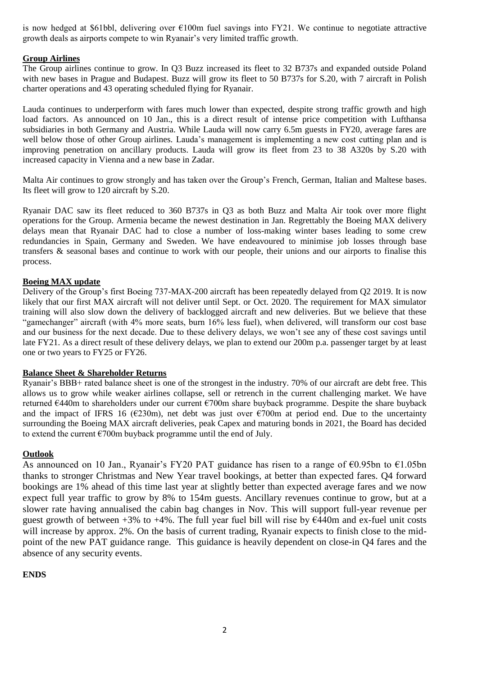is now hedged at \$61bbl, delivering over €100m fuel savings into FY21. We continue to negotiate attractive growth deals as airports compete to win Ryanair's very limited traffic growth.

### **Group Airlines**

The Group airlines continue to grow. In Q3 Buzz increased its fleet to 32 B737s and expanded outside Poland with new bases in Prague and Budapest. Buzz will grow its fleet to 50 B737s for S.20, with 7 aircraft in Polish charter operations and 43 operating scheduled flying for Ryanair.

Lauda continues to underperform with fares much lower than expected, despite strong traffic growth and high load factors. As announced on 10 Jan., this is a direct result of intense price competition with Lufthansa subsidiaries in both Germany and Austria. While Lauda will now carry 6.5m guests in FY20, average fares are well below those of other Group airlines. Lauda's management is implementing a new cost cutting plan and is improving penetration on ancillary products. Lauda will grow its fleet from 23 to 38 A320s by S.20 with increased capacity in Vienna and a new base in Zadar.

Malta Air continues to grow strongly and has taken over the Group's French, German, Italian and Maltese bases. Its fleet will grow to 120 aircraft by S.20.

Ryanair DAC saw its fleet reduced to 360 B737s in Q3 as both Buzz and Malta Air took over more flight operations for the Group. Armenia became the newest destination in Jan. Regrettably the Boeing MAX delivery delays mean that Ryanair DAC had to close a number of loss-making winter bases leading to some crew redundancies in Spain, Germany and Sweden. We have endeavoured to minimise job losses through base transfers & seasonal bases and continue to work with our people, their unions and our airports to finalise this process.

## **Boeing MAX update**

Delivery of the Group's first Boeing 737-MAX-200 aircraft has been repeatedly delayed from Q2 2019. It is now likely that our first MAX aircraft will not deliver until Sept. or Oct. 2020. The requirement for MAX simulator training will also slow down the delivery of backlogged aircraft and new deliveries. But we believe that these "gamechanger" aircraft (with 4% more seats, burn 16% less fuel), when delivered, will transform our cost base and our business for the next decade. Due to these delivery delays, we won't see any of these cost savings until late FY21. As a direct result of these delivery delays, we plan to extend our 200m p.a. passenger target by at least one or two years to FY25 or FY26.

### **Balance Sheet & Shareholder Returns**

Ryanair's BBB+ rated balance sheet is one of the strongest in the industry. 70% of our aircraft are debt free. This allows us to grow while weaker airlines collapse, sell or retrench in the current challenging market. We have returned €440m to shareholders under our current €700m share buyback programme. Despite the share buyback and the impact of IFRS 16 (€230m), net debt was just over  $\epsilon$ 700m at period end. Due to the uncertainty surrounding the Boeing MAX aircraft deliveries, peak Capex and maturing bonds in 2021, the Board has decided to extend the current  $\epsilon$ 700m buyback programme until the end of July.

# **Outlook**

As announced on 10 Jan., Ryanair's FY20 PAT guidance has risen to a range of  $\epsilon$ 0.95bn to  $\epsilon$ 1.05bn thanks to stronger Christmas and New Year travel bookings, at better than expected fares. Q4 forward bookings are 1% ahead of this time last year at slightly better than expected average fares and we now expect full year traffic to grow by 8% to 154m guests. Ancillary revenues continue to grow, but at a slower rate having annualised the cabin bag changes in Nov. This will support full-year revenue per guest growth of between  $+3\%$  to  $+4\%$ . The full year fuel bill will rise by  $\epsilon$ 440m and ex-fuel unit costs will increase by approx. 2%. On the basis of current trading, Ryanair expects to finish close to the midpoint of the new PAT guidance range. This guidance is heavily dependent on close-in Q4 fares and the absence of any security events.

# **ENDS**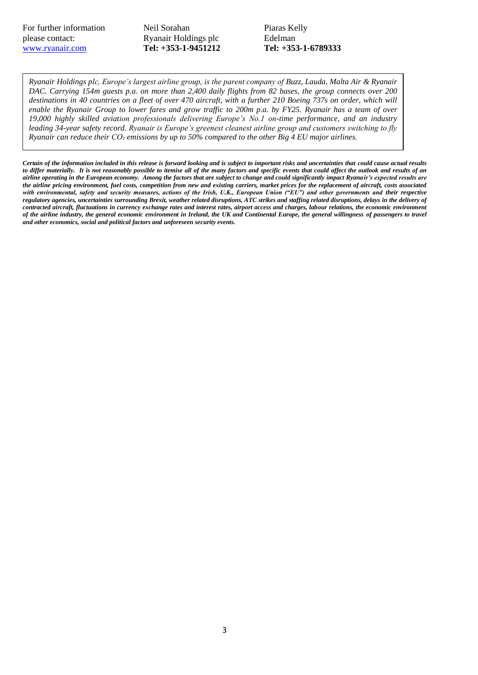Neil Sorahan Ryanair Holdings plc **Tel: +353-1-9451212** Piaras Kelly Edelman **Tel: +353-1-6789333**

*Ryanair Holdings plc, Europe's largest airline group, is the parent company of Buzz, Lauda, Malta Air & Ryanair DAC. Carrying 154m guests p.a. on more than 2,400 daily flights from 82 bases, the group connects over 200 destinations in 40 countries on a fleet of over 470 aircraft, with a further 210 Boeing 737s on order, which will enable the Ryanair Group to lower fares and grow traffic to 200m p.a. by FY25. Ryanair has a team of over 19,000 highly skilled aviation professionals delivering Europe's No.1 on-time performance, and an industry leading 34-year safety record. Ryanair is Europe's greenest cleanest airline group and customers switching to fly Ryanair can reduce their CO₂ emissions by up to 50% compared to the other Big 4 EU major airlines.*

*Certain of the information included in this release is forward looking and is subject to important risks and uncertainties that could cause actual results*  to differ materially. It is not reasonably possible to itemise all of the many factors and specific events that could affect the outlook and results of an *airline operating in the European economy. Among the factors that are subject to change and could significantly impact Ryanair's expected results are the airline pricing environment, fuel costs, competition from new and existing carriers, market prices for the replacement of aircraft, costs associated with environmental, safety and security measures, actions of the Irish, U.K., European Union ("EU") and other governments and their respective regulatory agencies, uncertainties surrounding Brexit, weather related disruptions, ATC strikes and staffing related disruptions, delays in the delivery of contracted aircraft, fluctuations in currency exchange rates and interest rates, airport access and charges, labour relations, the economic environment of the airline industry, the general economic environment in Ireland, the UK and Continental Europe, the general willingness of passengers to travel and other economics, social and political factors and unforeseen security events.*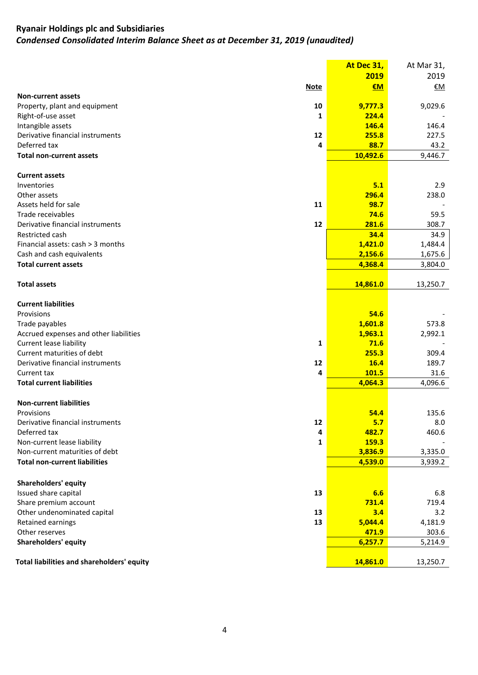# **Ryanair Holdings plc and Subsidiaries**  *Condensed Consolidated Interim Balance Sheet as at December 31, 2019 (unaudited)*

|                                            | At Dec 31, | At Mar 31, |
|--------------------------------------------|------------|------------|
|                                            | 2019       | 2019       |
| <b>Note</b>                                | €M         | €M         |
| <b>Non-current assets</b>                  |            |            |
| Property, plant and equipment<br>10        | 9,777.3    | 9,029.6    |
| Right-of-use asset<br>1                    | 224.4      |            |
| Intangible assets                          | 146.4      | 146.4      |
| Derivative financial instruments<br>12     | 255.8      | 227.5      |
| Deferred tax<br>4                          | 88.7       | 43.2       |
| <b>Total non-current assets</b>            | 10,492.6   | 9,446.7    |
|                                            |            |            |
| <b>Current assets</b>                      |            |            |
| Inventories                                | 5.1        | 2.9        |
| Other assets                               | 296.4      | 238.0      |
| Assets held for sale<br>11                 | 98.7       |            |
| Trade receivables                          | 74.6       | 59.5       |
| Derivative financial instruments<br>12     | 281.6      | 308.7      |
| Restricted cash                            | 34.4       | 34.9       |
| Financial assets: cash > 3 months          | 1,421.0    | 1,484.4    |
| Cash and cash equivalents                  | 2,156.6    | 1,675.6    |
| <b>Total current assets</b>                |            |            |
|                                            | 4,368.4    | 3,804.0    |
|                                            |            |            |
| <b>Total assets</b>                        | 14,861.0   | 13,250.7   |
|                                            |            |            |
| <b>Current liabilities</b>                 |            |            |
| Provisions                                 | 54.6       |            |
| Trade payables                             | 1,601.8    | 573.8      |
| Accrued expenses and other liabilities     | 1,963.1    | 2,992.1    |
| <b>Current lease liability</b><br>1        | 71.6       |            |
| Current maturities of debt                 | 255.3      | 309.4      |
| Derivative financial instruments<br>12     | 16.4       | 189.7      |
| Current tax<br>4                           | 101.5      | 31.6       |
| <b>Total current liabilities</b>           | 4,064.3    | 4,096.6    |
|                                            |            |            |
| <b>Non-current liabilities</b>             |            |            |
| Provisions                                 | 54.4       | 135.6      |
| Derivative financial instruments<br>12     | 5.7        | 8.0        |
| Deferred tax<br>4                          | 482.7      | 460.6      |
| Non-current lease liability<br>1           | 159.3      |            |
| Non-current maturities of debt             | 3,836.9    | 3,335.0    |
| <b>Total non-current liabilities</b>       | 4,539.0    | 3,939.2    |
|                                            |            |            |
| <b>Shareholders' equity</b>                |            |            |
| Issued share capital<br>13                 | 6.6        | 6.8        |
| Share premium account                      | 731.4      | 719.4      |
| Other undenominated capital<br>13          | 3.4        | 3.2        |
| Retained earnings<br>13                    | 5,044.4    | 4,181.9    |
| Other reserves                             | 471.9      | 303.6      |
| <b>Shareholders' equity</b>                | 6,257.7    | 5,214.9    |
|                                            |            |            |
| Total liabilities and shareholders' equity | 14,861.0   | 13,250.7   |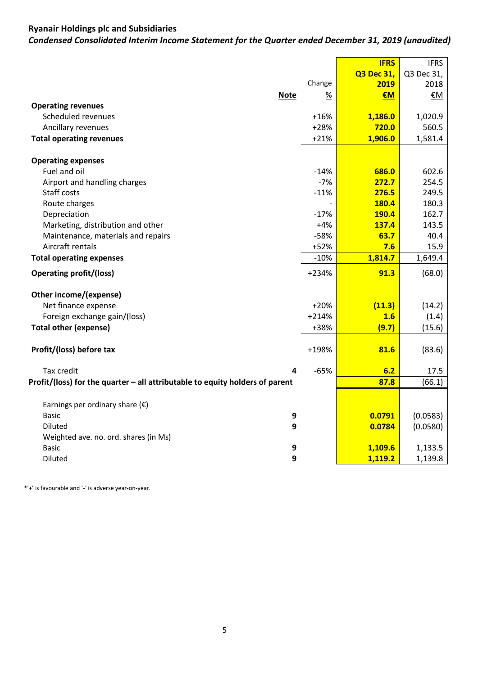# **Ryanair Holdings plc and Subsidiaries**

*Condensed Consolidated Interim Income Statement for the Quarter ended December 31, 2019 (unaudited)*

|                                                                              |               | <b>IFRS</b> | <b>IFRS</b> |
|------------------------------------------------------------------------------|---------------|-------------|-------------|
|                                                                              |               | Q3 Dec 31,  | Q3 Dec 31,  |
|                                                                              | Change        | 2019        | 2018        |
| <b>Note</b>                                                                  | $\frac{9}{6}$ | €M          | €M          |
| <b>Operating revenues</b>                                                    |               |             |             |
| Scheduled revenues                                                           | $+16%$        | 1,186.0     | 1,020.9     |
| Ancillary revenues                                                           | $+28%$        | 720.0       | 560.5       |
| <b>Total operating revenues</b>                                              | $+21%$        | 1,906.0     | 1,581.4     |
|                                                                              |               |             |             |
| <b>Operating expenses</b>                                                    |               |             |             |
| Fuel and oil                                                                 | $-14%$        | 686.0       | 602.6       |
| Airport and handling charges                                                 | $-7%$         | 272.7       | 254.5       |
| Staff costs                                                                  | $-11%$        | 276.5       | 249.5       |
| Route charges                                                                |               | 180.4       | 180.3       |
| Depreciation                                                                 | $-17%$        | 190.4       | 162.7       |
| Marketing, distribution and other                                            | $+4%$         | 137.4       | 143.5       |
| Maintenance, materials and repairs                                           | $-58%$        | 63.7        | 40.4        |
| Aircraft rentals                                                             | +52%          | 7.6         | 15.9        |
| <b>Total operating expenses</b>                                              | $-10%$        | 1,814.7     | 1,649.4     |
| <b>Operating profit/(loss)</b>                                               | +234%         | 91.3        | (68.0)      |
| Other income/(expense)                                                       |               |             |             |
| Net finance expense                                                          | $+20%$        | (11.3)      | (14.2)      |
| Foreign exchange gain/(loss)                                                 | $+214%$       | 1.6         | (1.4)       |
| <b>Total other (expense)</b>                                                 | +38%          | (9.7)       | (15.6)      |
|                                                                              |               |             |             |
| Profit/(loss) before tax                                                     | +198%         | 81.6        | (83.6)      |
|                                                                              |               |             |             |
| Tax credit<br>4                                                              | $-65%$        | 6.2         | 17.5        |
| Profit/(loss) for the quarter - all attributable to equity holders of parent |               | 87.8        | (66.1)      |
|                                                                              |               |             |             |
| Earnings per ordinary share $(\epsilon)$                                     |               |             |             |
| 9<br><b>Basic</b>                                                            |               | 0.0791      | (0.0583)    |
| 9<br>Diluted                                                                 |               | 0.0784      | (0.0580)    |
| Weighted ave. no. ord. shares (in Ms)                                        |               |             |             |
| <b>Basic</b><br>9                                                            |               | 1,109.6     | 1,133.5     |
| 9<br><b>Diluted</b>                                                          |               | 1,119.2     | 1,139.8     |

\*'+' is favourable and '-' is adverse year-on-year.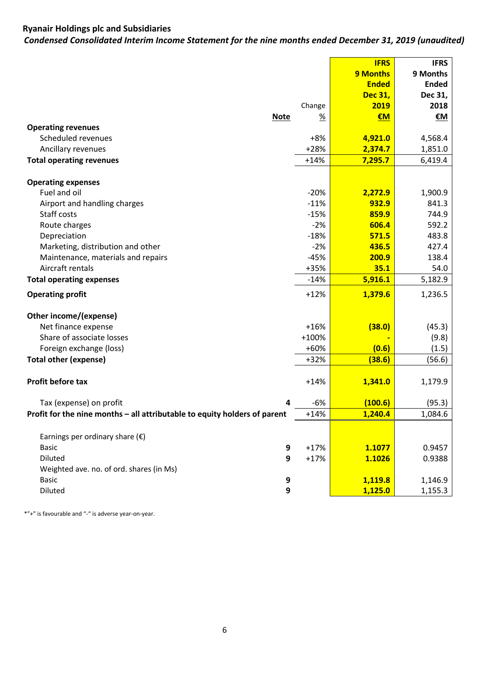# **Ryanair Holdings plc and Subsidiaries**

*Condensed Consolidated Interim Income Statement for the nine months ended December 31, 2019 (unaudited)*

|                                                                           |             |         | <b>IFRS</b>    | <b>IFRS</b>  |
|---------------------------------------------------------------------------|-------------|---------|----------------|--------------|
|                                                                           |             |         | 9 Months       | 9 Months     |
|                                                                           |             |         | <b>Ended</b>   | <b>Ended</b> |
|                                                                           |             |         | <b>Dec 31,</b> | Dec 31,      |
|                                                                           |             | Change  | 2019           | 2018         |
|                                                                           | <b>Note</b> | %       | €M             | <u>€M</u>    |
| <b>Operating revenues</b>                                                 |             |         |                |              |
| Scheduled revenues                                                        |             | $+8%$   | 4,921.0        | 4,568.4      |
| Ancillary revenues                                                        |             | $+28%$  | 2,374.7        | 1,851.0      |
| <b>Total operating revenues</b>                                           |             | $+14%$  | 7,295.7        | 6,419.4      |
| <b>Operating expenses</b>                                                 |             |         |                |              |
| Fuel and oil                                                              |             | $-20%$  | 2,272.9        | 1,900.9      |
| Airport and handling charges                                              |             | $-11%$  | 932.9          | 841.3        |
| Staff costs                                                               |             | $-15%$  | 859.9          | 744.9        |
| Route charges                                                             |             | $-2%$   | 606.4          | 592.2        |
| Depreciation                                                              |             | $-18%$  | 571.5          | 483.8        |
| Marketing, distribution and other                                         |             | $-2%$   | 436.5          | 427.4        |
| Maintenance, materials and repairs                                        |             | $-45%$  | 200.9          | 138.4        |
| Aircraft rentals                                                          |             | +35%    | 35.1           | 54.0         |
| <b>Total operating expenses</b>                                           |             | $-14%$  | 5,916.1        | 5,182.9      |
| <b>Operating profit</b>                                                   |             | $+12%$  | 1,379.6        | 1,236.5      |
| Other income/(expense)                                                    |             |         |                |              |
| Net finance expense                                                       |             | $+16%$  | (38.0)         | (45.3)       |
| Share of associate losses                                                 |             | $+100%$ |                | (9.8)        |
| Foreign exchange (loss)                                                   |             | +60%    | (0.6)          | (1.5)        |
| <b>Total other (expense)</b>                                              |             | $+32%$  | (38.6)         | (56.6)       |
|                                                                           |             |         |                |              |
| Profit before tax                                                         |             | $+14%$  | 1,341.0        | 1,179.9      |
| Tax (expense) on profit                                                   | 4           | -6%     | (100.6)        | (95.3)       |
| Profit for the nine months - all attributable to equity holders of parent |             | $+14%$  | 1,240.4        | 1,084.6      |
|                                                                           |             |         |                |              |
| Earnings per ordinary share $(\epsilon)$                                  |             |         |                |              |
| <b>Basic</b>                                                              | 9           | $+17%$  | 1.1077         | 0.9457       |
| Diluted                                                                   | 9           | $+17%$  | 1.1026         | 0.9388       |
| Weighted ave. no. of ord. shares (in Ms)                                  |             |         |                |              |
| <b>Basic</b>                                                              | 9           |         | 1,119.8        | 1,146.9      |
| Diluted                                                                   | 9           |         | 1,125.0        | 1,155.3      |

\*"+" is favourable and "-" is adverse year-on-year.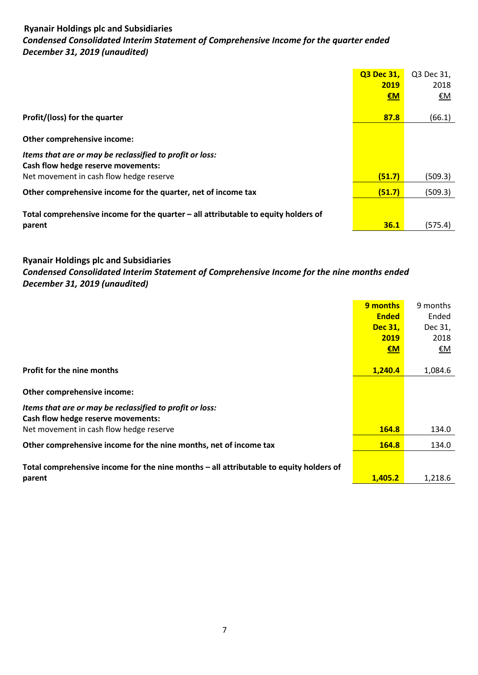# **Ryanair Holdings plc and Subsidiaries**  *Condensed Consolidated Interim Statement of Comprehensive Income for the quarter ended December 31, 2019 (unaudited)*

|                                                                                    | <b>Q3 Dec 31.</b> | Q3 Dec 31, |
|------------------------------------------------------------------------------------|-------------------|------------|
|                                                                                    | 2019              | 2018       |
|                                                                                    | €M                | <u>€M</u>  |
|                                                                                    |                   |            |
| Profit/(loss) for the quarter                                                      | 87.8              | (66.1)     |
|                                                                                    |                   |            |
| Other comprehensive income:                                                        |                   |            |
| Items that are or may be reclassified to profit or loss:                           |                   |            |
| Cash flow hedge reserve movements:                                                 |                   |            |
| Net movement in cash flow hedge reserve                                            | (51.7)            | (509.3)    |
| Other comprehensive income for the quarter, net of income tax                      | (51.7)            | (509.3)    |
|                                                                                    |                   |            |
| Total comprehensive income for the quarter - all attributable to equity holders of |                   |            |
| parent                                                                             | 36.1              | (575.4)    |

# **Ryanair Holdings plc and Subsidiaries**

*Condensed Consolidated Interim Statement of Comprehensive Income for the nine months ended December 31, 2019 (unaudited)*

|                                                                                        | 9 months       | 9 months |
|----------------------------------------------------------------------------------------|----------------|----------|
|                                                                                        | <b>Ended</b>   | Ended    |
|                                                                                        | <b>Dec 31.</b> | Dec 31,  |
|                                                                                        | 2019           | 2018     |
|                                                                                        | $\epsilon$ M   | €Μ       |
|                                                                                        |                |          |
| <b>Profit for the nine months</b>                                                      | 1.240.4        | 1,084.6  |
|                                                                                        |                |          |
| Other comprehensive income:                                                            |                |          |
| Items that are or may be reclassified to profit or loss:                               |                |          |
| Cash flow hedge reserve movements:                                                     |                |          |
| Net movement in cash flow hedge reserve                                                | <b>164.8</b>   | 134.0    |
| Other comprehensive income for the nine months, net of income tax                      | <b>164.8</b>   | 134.0    |
|                                                                                        |                |          |
| Total comprehensive income for the nine months - all attributable to equity holders of |                |          |
| parent                                                                                 | 1.405.2        | 1,218.6  |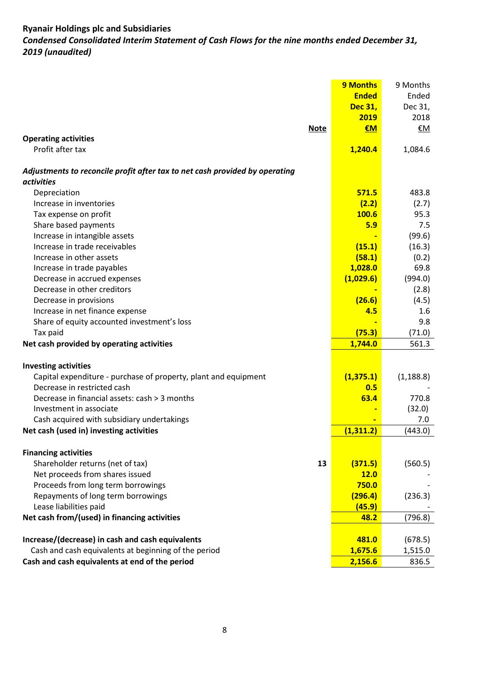# **Ryanair Holdings plc and Subsidiaries** *Condensed Consolidated Interim Statement of Cash Flows for the nine months ended December 31, 2019 (unaudited)*

|                                                                             | <b>9 Months</b> | 9 Months   |
|-----------------------------------------------------------------------------|-----------------|------------|
|                                                                             | <b>Ended</b>    | Ended      |
|                                                                             | Dec 31,         | Dec 31,    |
|                                                                             | 2019            | 2018       |
| <b>Note</b>                                                                 | €M              | €M         |
| <b>Operating activities</b>                                                 |                 |            |
| Profit after tax                                                            | 1,240.4         | 1,084.6    |
| Adjustments to reconcile profit after tax to net cash provided by operating |                 |            |
| <i>activities</i>                                                           |                 |            |
| Depreciation                                                                | 571.5           | 483.8      |
| Increase in inventories                                                     | (2.2)           | (2.7)      |
| Tax expense on profit                                                       | 100.6           | 95.3       |
| Share based payments                                                        | 5.9             | 7.5        |
| Increase in intangible assets                                               |                 | (99.6)     |
| Increase in trade receivables                                               | (15.1)          | (16.3)     |
| Increase in other assets                                                    | (58.1)          | (0.2)      |
| Increase in trade payables                                                  | 1,028.0         | 69.8       |
| Decrease in accrued expenses                                                | (1,029.6)       | (994.0)    |
| Decrease in other creditors                                                 |                 | (2.8)      |
| Decrease in provisions                                                      | (26.6)          | (4.5)      |
| Increase in net finance expense                                             | 4.5             | 1.6        |
| Share of equity accounted investment's loss                                 |                 | 9.8        |
| Tax paid                                                                    | (75.3)          | (71.0)     |
| Net cash provided by operating activities                                   | 1,744.0         | 561.3      |
| <b>Investing activities</b>                                                 |                 |            |
| Capital expenditure - purchase of property, plant and equipment             | (1, 375.1)      | (1, 188.8) |
| Decrease in restricted cash                                                 | 0.5             |            |
| Decrease in financial assets: cash > 3 months                               | 63.4            | 770.8      |
| Investment in associate                                                     |                 | (32.0)     |
| Cash acquired with subsidiary undertakings                                  |                 | 7.0        |
| Net cash (used in) investing activities                                     | (1, 311.2)      | (443.0)    |
|                                                                             |                 |            |
| <b>Financing activities</b>                                                 |                 |            |
| Shareholder returns (net of tax)<br>13                                      | (371.5)         | (560.5)    |
| Net proceeds from shares issued                                             | <b>12.0</b>     |            |
| Proceeds from long term borrowings                                          | 750.0           |            |
| Repayments of long term borrowings                                          | (296.4)         | (236.3)    |
| Lease liabilities paid                                                      | (45.9)          |            |
| Net cash from/(used) in financing activities                                | 48.2            | (796.8)    |
|                                                                             |                 |            |
| Increase/(decrease) in cash and cash equivalents                            | 481.0           | (678.5)    |
| Cash and cash equivalents at beginning of the period                        | 1,675.6         | 1,515.0    |
| Cash and cash equivalents at end of the period                              | 2,156.6         | 836.5      |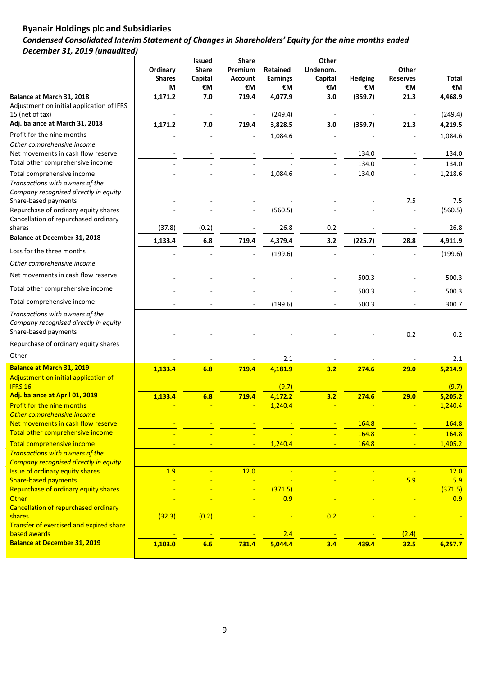# **Ryanair Holdings plc and Subsidiaries**  *Condensed Consolidated Interim Statement of Changes in Shareholders' Equity for the nine months ended December 31, 2019 (unaudited)*

|                                                                                                  | Ordinary<br><b>Shares</b><br>M | Issued<br><b>Share</b><br>Capital<br><u>€M</u> | <b>Share</b><br>Premium<br><b>Account</b><br>€М | <b>Retained</b><br><b>Earnings</b><br>€M | Other<br>Undenom.<br>Capital<br>€M | <b>Hedging</b><br>€Μ | Other<br><b>Reserves</b><br>€М | Total<br><u>€M</u> |
|--------------------------------------------------------------------------------------------------|--------------------------------|------------------------------------------------|-------------------------------------------------|------------------------------------------|------------------------------------|----------------------|--------------------------------|--------------------|
| Balance at March 31, 2018                                                                        | 1,171.2                        | 7.0                                            | 719.4                                           | 4,077.9                                  | 3.0                                | (359.7)              | 21.3                           | 4,468.9            |
| Adjustment on initial application of IFRS<br>15 (net of tax)                                     |                                |                                                |                                                 | (249.4)                                  |                                    |                      |                                | (249.4)            |
| Adj. balance at March 31, 2018                                                                   | 1,171.2                        | 7.0                                            | 719.4                                           | 3,828.5                                  | 3.0                                | (359.7)              | 21.3                           | 4,219.5            |
| Profit for the nine months                                                                       |                                |                                                |                                                 | 1,084.6                                  |                                    |                      |                                | 1,084.6            |
| Other comprehensive income                                                                       |                                |                                                |                                                 |                                          |                                    |                      |                                |                    |
| Net movements in cash flow reserve                                                               |                                |                                                |                                                 |                                          |                                    | 134.0                |                                | 134.0              |
| Total other comprehensive income                                                                 |                                |                                                |                                                 |                                          |                                    | 134.0                |                                | 134.0              |
| Total comprehensive income                                                                       |                                |                                                |                                                 | 1,084.6                                  |                                    | 134.0                |                                | 1,218.6            |
| Transactions with owners of the                                                                  |                                |                                                |                                                 |                                          |                                    |                      |                                |                    |
| Company recognised directly in equity<br>Share-based payments                                    |                                |                                                |                                                 |                                          |                                    |                      | 7.5                            | 7.5                |
| Repurchase of ordinary equity shares                                                             |                                |                                                |                                                 | (560.5)                                  |                                    |                      |                                | (560.5)            |
| Cancellation of repurchased ordinary                                                             |                                |                                                |                                                 |                                          |                                    |                      |                                |                    |
| shares                                                                                           | (37.8)                         | (0.2)                                          |                                                 | 26.8                                     | 0.2                                |                      |                                | 26.8               |
| <b>Balance at December 31, 2018</b>                                                              | 1,133.4                        | 6.8                                            | 719.4                                           | 4,379.4                                  | 3.2                                | (225.7)              | 28.8                           | 4,911.9            |
| Loss for the three months                                                                        |                                |                                                |                                                 | (199.6)                                  |                                    |                      |                                | (199.6)            |
| Other comprehensive income                                                                       |                                |                                                |                                                 |                                          |                                    |                      |                                |                    |
| Net movements in cash flow reserve                                                               |                                |                                                |                                                 |                                          |                                    | 500.3                |                                | 500.3              |
| Total other comprehensive income                                                                 |                                |                                                |                                                 |                                          |                                    | 500.3                |                                | 500.3              |
| Total comprehensive income                                                                       |                                |                                                |                                                 | (199.6)                                  |                                    | 500.3                |                                | 300.7              |
| Transactions with owners of the<br>Company recognised directly in equity<br>Share-based payments |                                |                                                |                                                 |                                          |                                    |                      | 0.2                            | 0.2                |
| Repurchase of ordinary equity shares                                                             |                                |                                                |                                                 |                                          |                                    |                      |                                |                    |
| Other                                                                                            |                                |                                                |                                                 | 2.1                                      |                                    |                      |                                | 2.1                |
| <b>Balance at March 31, 2019</b>                                                                 | 1,133.4                        | 6.8                                            | 719.4                                           | 4,181.9                                  | 3.2                                | 274.6                | 29.0                           | 5,214.9            |
| Adjustment on initial application of                                                             |                                |                                                |                                                 |                                          |                                    |                      |                                |                    |
| <b>IFRS 16</b>                                                                                   |                                |                                                |                                                 | (9.7)                                    | $\blacksquare$                     |                      |                                | (9.7)              |
| Adj. balance at April 01, 2019                                                                   | 1,133.4                        | 6.8                                            | 719.4                                           | 4,172.2                                  | 3.2                                | 274.6                | 29.0                           | 5,205.2            |
| <b>Profit for the nine months</b>                                                                |                                |                                                |                                                 | 1,240.4                                  |                                    |                      |                                | 1,240.4            |
| Other comprehensive income<br>Net movements in cash flow reserve                                 |                                |                                                |                                                 |                                          |                                    | 164.8                |                                | 164.8              |
| Total other comprehensive income                                                                 |                                |                                                |                                                 |                                          |                                    | 164.8                |                                | 164.8              |
| Total comprehensive income                                                                       |                                |                                                | $\blacksquare$                                  | 1,240.4                                  |                                    | 164.8                |                                | 1,405.2            |
| Transactions with owners of the                                                                  |                                |                                                |                                                 |                                          |                                    |                      |                                |                    |
| <b>Company recognised directly in equity</b>                                                     |                                |                                                |                                                 |                                          |                                    |                      |                                |                    |
| <b>Issue of ordinary equity shares</b>                                                           | 1.9                            |                                                | 12.0                                            |                                          |                                    |                      |                                | 12.0               |
| <b>Share-based payments</b>                                                                      |                                |                                                |                                                 |                                          |                                    |                      | 5.9                            | 5.9                |
| Repurchase of ordinary equity shares<br>Other                                                    |                                |                                                |                                                 | (371.5)<br>0.9                           |                                    |                      |                                | (371.5)<br>0.9     |
| Cancellation of repurchased ordinary                                                             |                                |                                                |                                                 |                                          |                                    |                      |                                |                    |
| shares                                                                                           | (32.3)                         | (0.2)                                          |                                                 |                                          | 0.2                                |                      |                                |                    |
| Transfer of exercised and expired share                                                          |                                |                                                |                                                 |                                          |                                    |                      |                                |                    |
| based awards<br><b>Balance at December 31, 2019</b>                                              |                                |                                                |                                                 | 2.4                                      |                                    |                      | (2.4)                          |                    |
|                                                                                                  | 1,103.0                        | 6.6                                            | 731.4                                           | 5,044.4                                  | 3.4                                | 439.4                | 32.5                           | 6,257.7            |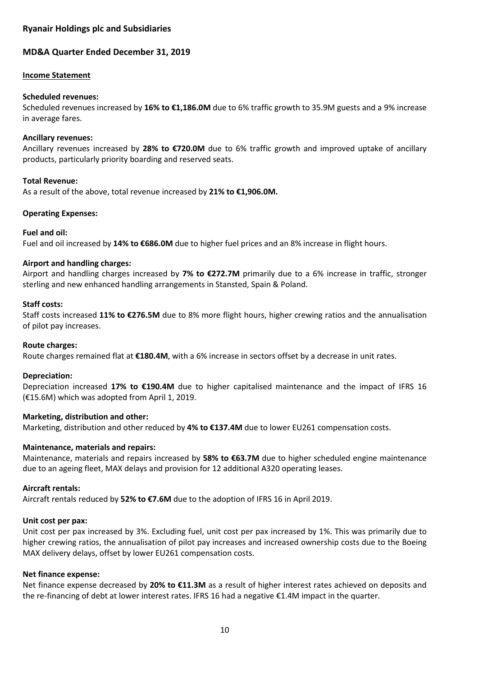# **Ryanair Holdings plc and Subsidiaries**

# **MD&A Quarter Ended December 31, 2019**

### **Income Statement**

### **Scheduled revenues:**

Scheduled revenues increased by **16% to €1,186.0M** due to 6% traffic growth to 35.9M guests and a 9% increase in average fares.

### **Ancillary revenues:**

Ancillary revenues increased by **28% to €720.0M** due to 6% traffic growth and improved uptake of ancillary products, particularly priority boarding and reserved seats.

## **Total Revenue:**

As a result of the above, total revenue increased by **21% to €1,906.0M.**

## **Operating Expenses:**

## **Fuel and oil:**

Fuel and oil increased by **14% to €686.0M** due to higher fuel prices and an 8% increase in flight hours.

## **Airport and handling charges:**

Airport and handling charges increased by **7% to €272.7M** primarily due to a 6% increase in traffic, stronger sterling and new enhanced handling arrangements in Stansted, Spain & Poland.

## **Staff costs:**

Staff costs increased **11% to €276.5M** due to 8% more flight hours, higher crewing ratios and the annualisation of pilot pay increases.

### **Route charges:**

Route charges remained flat at **€180.4M**, with a 6% increase in sectors offset by a decrease in unit rates.

### **Depreciation:**

Depreciation increased **17% to €190.4M** due to higher capitalised maintenance and the impact of IFRS 16 (€15.6M) which was adopted from April 1, 2019.

### **Marketing, distribution and other:**

Marketing, distribution and other reduced by **4% to €137.4M** due to lower EU261 compensation costs.

### **Maintenance, materials and repairs:**

Maintenance, materials and repairs increased by **58% to €63.7M** due to higher scheduled engine maintenance due to an ageing fleet, MAX delays and provision for 12 additional A320 operating leases.

### **Aircraft rentals:**

Aircraft rentals reduced by **52% to €7.6M** due to the adoption of IFRS 16 in April 2019.

### **Unit cost per pax:**

Unit cost per pax increased by 3%. Excluding fuel, unit cost per pax increased by 1%. This was primarily due to higher crewing ratios, the annualisation of pilot pay increases and increased ownership costs due to the Boeing MAX delivery delays, offset by lower EU261 compensation costs.

### **Net finance expense:**

Net finance expense decreased by **20% to €11.3M** as a result of higher interest rates achieved on deposits and the re-financing of debt at lower interest rates. IFRS 16 had a negative €1.4M impact in the quarter.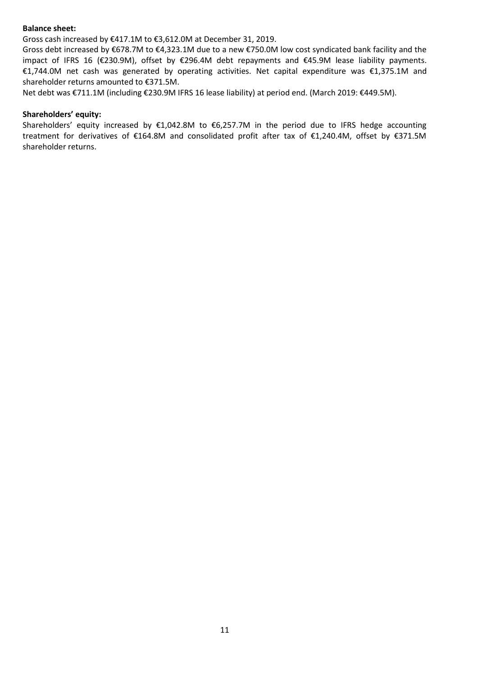### **Balance sheet:**

Gross cash increased by €417.1M to €3,612.0M at December 31, 2019.

Gross debt increased by €678.7M to €4,323.1M due to a new €750.0M low cost syndicated bank facility and the impact of IFRS 16 (€230.9M), offset by €296.4M debt repayments and €45.9M lease liability payments. €1,744.0M net cash was generated by operating activities. Net capital expenditure was €1,375.1M and shareholder returns amounted to €371.5M.

Net debt was €711.1M (including €230.9M IFRS 16 lease liability) at period end. (March 2019: €449.5M).

### **Shareholders' equity:**

Shareholders' equity increased by €1,042.8M to €6,257.7M in the period due to IFRS hedge accounting treatment for derivatives of €164.8M and consolidated profit after tax of €1,240.4M, offset by €371.5M shareholder returns.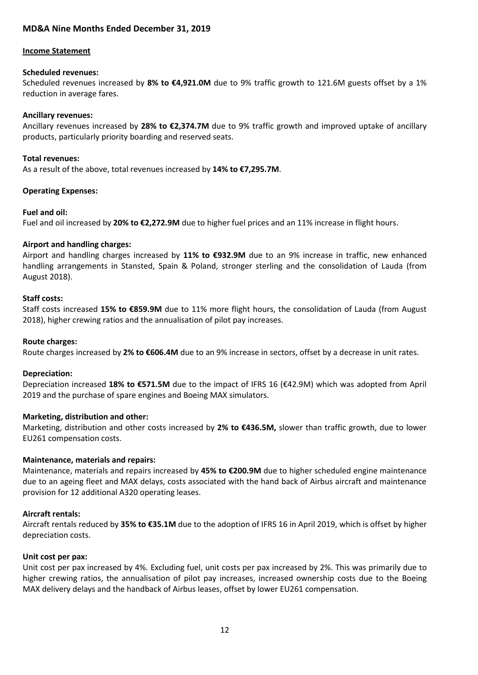# **MD&A Nine Months Ended December 31, 2019**

#### **Income Statement**

#### **Scheduled revenues:**

Scheduled revenues increased by **8% to €4,921.0M** due to 9% traffic growth to 121.6M guests offset by a 1% reduction in average fares.

### **Ancillary revenues:**

Ancillary revenues increased by **28% to €2,374.7M** due to 9% traffic growth and improved uptake of ancillary products, particularly priority boarding and reserved seats.

### **Total revenues:**

As a result of the above, total revenues increased by **14% to €7,295.7M**.

### **Operating Expenses:**

#### **Fuel and oil:**

Fuel and oil increased by **20% to €2,272.9M** due to higher fuel prices and an 11% increase in flight hours.

### **Airport and handling charges:**

Airport and handling charges increased by **11% to €932.9M** due to an 9% increase in traffic, new enhanced handling arrangements in Stansted, Spain & Poland, stronger sterling and the consolidation of Lauda (from August 2018).

### **Staff costs:**

Staff costs increased **15% to €859.9M** due to 11% more flight hours, the consolidation of Lauda (from August 2018), higher crewing ratios and the annualisation of pilot pay increases.

#### **Route charges:**

Route charges increased by **2% to €606.4M** due to an 9% increase in sectors, offset by a decrease in unit rates.

### **Depreciation:**

Depreciation increased **18% to €571.5M** due to the impact of IFRS 16 (€42.9M) which was adopted from April 2019 and the purchase of spare engines and Boeing MAX simulators.

### **Marketing, distribution and other:**

Marketing, distribution and other costs increased by **2% to €436.5M,** slower than traffic growth, due to lower EU261 compensation costs.

### **Maintenance, materials and repairs:**

Maintenance, materials and repairs increased by **45% to €200.9M** due to higher scheduled engine maintenance due to an ageing fleet and MAX delays, costs associated with the hand back of Airbus aircraft and maintenance provision for 12 additional A320 operating leases.

### **Aircraft rentals:**

Aircraft rentals reduced by **35% to €35.1M** due to the adoption of IFRS 16 in April 2019, which is offset by higher depreciation costs.

### **Unit cost per pax:**

Unit cost per pax increased by 4%. Excluding fuel, unit costs per pax increased by 2%. This was primarily due to higher crewing ratios, the annualisation of pilot pay increases, increased ownership costs due to the Boeing MAX delivery delays and the handback of Airbus leases, offset by lower EU261 compensation.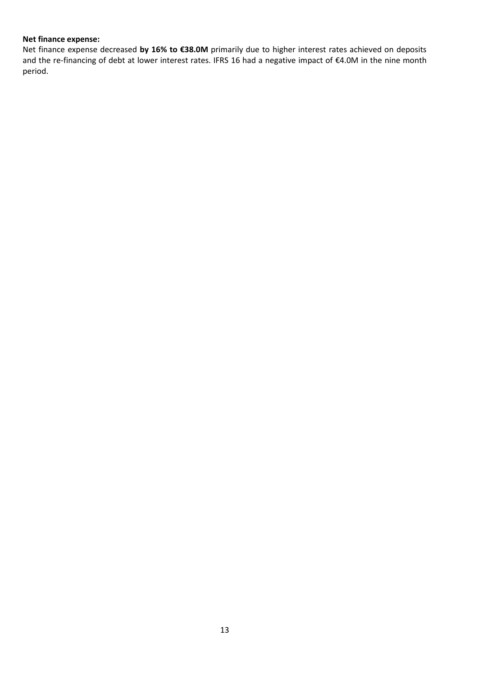### **Net finance expense:**

Net finance expense decreased **by 16% to €38.0M** primarily due to higher interest rates achieved on deposits and the re-financing of debt at lower interest rates. IFRS 16 had a negative impact of €4.0M in the nine month period.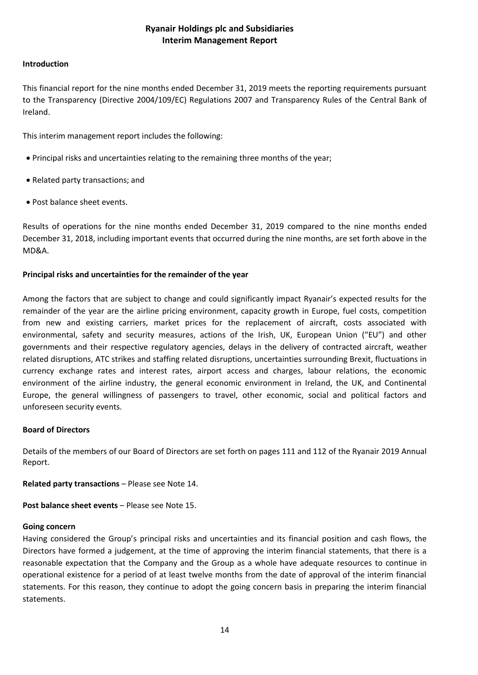# **Ryanair Holdings plc and Subsidiaries Interim Management Report**

### **Introduction**

This financial report for the nine months ended December 31, 2019 meets the reporting requirements pursuant to the Transparency (Directive 2004/109/EC) Regulations 2007 and Transparency Rules of the Central Bank of Ireland.

This interim management report includes the following:

- Principal risks and uncertainties relating to the remaining three months of the year;
- Related party transactions; and
- Post balance sheet events.

Results of operations for the nine months ended December 31, 2019 compared to the nine months ended December 31, 2018, including important events that occurred during the nine months, are set forth above in the MD&A.

# **Principal risks and uncertainties for the remainder of the year**

Among the factors that are subject to change and could significantly impact Ryanair's expected results for the remainder of the year are the airline pricing environment, capacity growth in Europe, fuel costs, competition from new and existing carriers, market prices for the replacement of aircraft, costs associated with environmental, safety and security measures, actions of the Irish, UK, European Union ("EU") and other governments and their respective regulatory agencies, delays in the delivery of contracted aircraft, weather related disruptions, ATC strikes and staffing related disruptions, uncertainties surrounding Brexit, fluctuations in currency exchange rates and interest rates, airport access and charges, labour relations, the economic environment of the airline industry, the general economic environment in Ireland, the UK, and Continental Europe, the general willingness of passengers to travel, other economic, social and political factors and unforeseen security events.

# **Board of Directors**

Details of the members of our Board of Directors are set forth on pages 111 and 112 of the Ryanair 2019 Annual Report.

**Related party transactions** – Please see Note 14.

**Post balance sheet events** – Please see Note 15.

# **Going concern**

Having considered the Group's principal risks and uncertainties and its financial position and cash flows, the Directors have formed a judgement, at the time of approving the interim financial statements, that there is a reasonable expectation that the Company and the Group as a whole have adequate resources to continue in operational existence for a period of at least twelve months from the date of approval of the interim financial statements. For this reason, they continue to adopt the going concern basis in preparing the interim financial statements.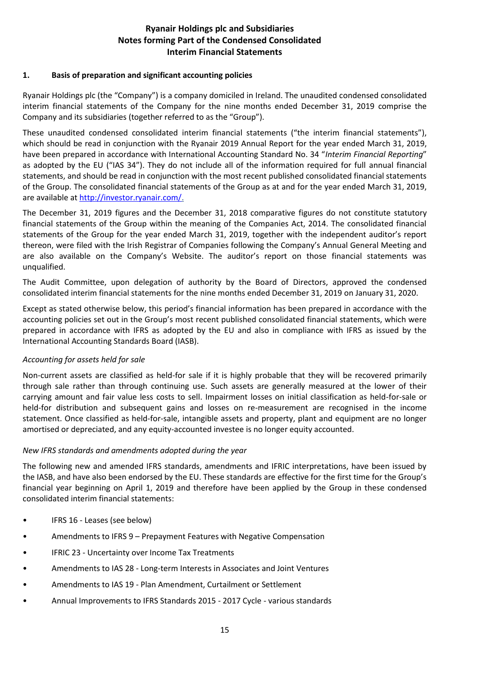# **Ryanair Holdings plc and Subsidiaries Notes forming Part of the Condensed Consolidated Interim Financial Statements**

## **1. Basis of preparation and significant accounting policies**

Ryanair Holdings plc (the "Company") is a company domiciled in Ireland. The unaudited condensed consolidated interim financial statements of the Company for the nine months ended December 31, 2019 comprise the Company and its subsidiaries (together referred to as the "Group").

These unaudited condensed consolidated interim financial statements ("the interim financial statements"), which should be read in conjunction with the Ryanair 2019 Annual Report for the year ended March 31, 2019, have been prepared in accordance with International Accounting Standard No. 34 "*Interim Financial Reporting*" as adopted by the EU ("IAS 34"). They do not include all of the information required for full annual financial statements, and should be read in conjunction with the most recent published consolidated financial statements of the Group. The consolidated financial statements of the Group as at and for the year ended March 31, 2019, are available at [http://investor.ryanair.com/.](http://investor.ryanair.com/)

The December 31, 2019 figures and the December 31, 2018 comparative figures do not constitute statutory financial statements of the Group within the meaning of the Companies Act, 2014. The consolidated financial statements of the Group for the year ended March 31, 2019, together with the independent auditor's report thereon, were filed with the Irish Registrar of Companies following the Company's Annual General Meeting and are also available on the Company's Website. The auditor's report on those financial statements was unqualified.

The Audit Committee, upon delegation of authority by the Board of Directors, approved the condensed consolidated interim financial statements for the nine months ended December 31, 2019 on January 31, 2020.

Except as stated otherwise below, this period's financial information has been prepared in accordance with the accounting policies set out in the Group's most recent published consolidated financial statements, which were prepared in accordance with IFRS as adopted by the EU and also in compliance with IFRS as issued by the International Accounting Standards Board (IASB).

# *Accounting for assets held for sale*

Non-current assets are classified as held-for sale if it is highly probable that they will be recovered primarily through sale rather than through continuing use. Such assets are generally measured at the lower of their carrying amount and fair value less costs to sell. Impairment losses on initial classification as held-for-sale or held-for distribution and subsequent gains and losses on re-measurement are recognised in the income statement. Once classified as held-for-sale, intangible assets and property, plant and equipment are no longer amortised or depreciated, and any equity-accounted investee is no longer equity accounted.

# *New IFRS standards and amendments adopted during the year*

The following new and amended IFRS standards, amendments and IFRIC interpretations, have been issued by the IASB, and have also been endorsed by the EU. These standards are effective for the first time for the Group's financial year beginning on April 1, 2019 and therefore have been applied by the Group in these condensed consolidated interim financial statements:

- IFRS 16 Leases (see below)
- Amendments to IFRS 9 Prepayment Features with Negative Compensation
- IFRIC 23 Uncertainty over Income Tax Treatments
- Amendments to IAS 28 Long-term Interests in Associates and Joint Ventures
- Amendments to IAS 19 Plan Amendment, Curtailment or Settlement
- Annual Improvements to IFRS Standards 2015 2017 Cycle various standards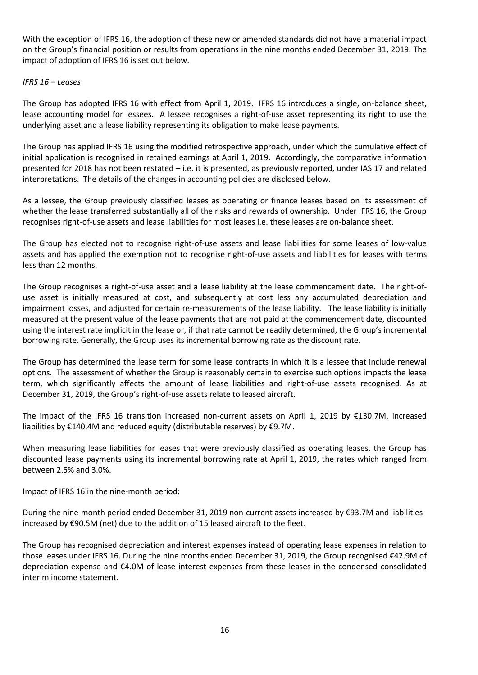With the exception of IFRS 16, the adoption of these new or amended standards did not have a material impact on the Group's financial position or results from operations in the nine months ended December 31, 2019. The impact of adoption of IFRS 16 is set out below.

### *IFRS 16 – Leases*

The Group has adopted IFRS 16 with effect from April 1, 2019. IFRS 16 introduces a single, on-balance sheet, lease accounting model for lessees. A lessee recognises a right-of-use asset representing its right to use the underlying asset and a lease liability representing its obligation to make lease payments.

The Group has applied IFRS 16 using the modified retrospective approach, under which the cumulative effect of initial application is recognised in retained earnings at April 1, 2019. Accordingly, the comparative information presented for 2018 has not been restated – i.e. it is presented, as previously reported, under IAS 17 and related interpretations. The details of the changes in accounting policies are disclosed below.

As a lessee, the Group previously classified leases as operating or finance leases based on its assessment of whether the lease transferred substantially all of the risks and rewards of ownership. Under IFRS 16, the Group recognises right-of-use assets and lease liabilities for most leases i.e. these leases are on-balance sheet.

The Group has elected not to recognise right-of-use assets and lease liabilities for some leases of low-value assets and has applied the exemption not to recognise right-of-use assets and liabilities for leases with terms less than 12 months.

The Group recognises a right-of-use asset and a lease liability at the lease commencement date. The right-ofuse asset is initially measured at cost, and subsequently at cost less any accumulated depreciation and impairment losses, and adjusted for certain re-measurements of the lease liability. The lease liability is initially measured at the present value of the lease payments that are not paid at the commencement date, discounted using the interest rate implicit in the lease or, if that rate cannot be readily determined, the Group's incremental borrowing rate. Generally, the Group uses its incremental borrowing rate as the discount rate.

The Group has determined the lease term for some lease contracts in which it is a lessee that include renewal options. The assessment of whether the Group is reasonably certain to exercise such options impacts the lease term, which significantly affects the amount of lease liabilities and right-of-use assets recognised. As at December 31, 2019, the Group's right-of-use assets relate to leased aircraft.

The impact of the IFRS 16 transition increased non-current assets on April 1, 2019 by €130.7M, increased liabilities by €140.4M and reduced equity (distributable reserves) by €9.7M.

When measuring lease liabilities for leases that were previously classified as operating leases, the Group has discounted lease payments using its incremental borrowing rate at April 1, 2019, the rates which ranged from between 2.5% and 3.0%.

Impact of IFRS 16 in the nine-month period:

During the nine-month period ended December 31, 2019 non-current assets increased by €93.7M and liabilities increased by €90.5M (net) due to the addition of 15 leased aircraft to the fleet.

The Group has recognised depreciation and interest expenses instead of operating lease expenses in relation to those leases under IFRS 16. During the nine months ended December 31, 2019, the Group recognised €42.9M of depreciation expense and €4.0M of lease interest expenses from these leases in the condensed consolidated interim income statement.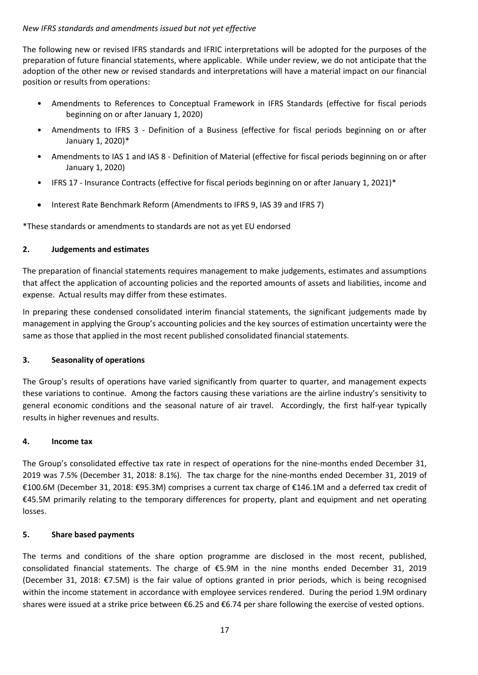## *New IFRS standards and amendments issued but not yet effective*

The following new or revised IFRS standards and IFRIC interpretations will be adopted for the purposes of the preparation of future financial statements, where applicable. While under review, we do not anticipate that the adoption of the other new or revised standards and interpretations will have a material impact on our financial position or results from operations:

- Amendments to References to Conceptual Framework in IFRS Standards (effective for fiscal periods beginning on or after January 1, 2020)
- Amendments to IFRS 3 Definition of a Business (effective for fiscal periods beginning on or after January 1, 2020)\*
- Amendments to IAS 1 and IAS 8 Definition of Material (effective for fiscal periods beginning on or after January 1, 2020)
- IFRS 17 Insurance Contracts (effective for fiscal periods beginning on or after January 1, 2021)\*
- Interest Rate Benchmark Reform (Amendments to IFRS 9, IAS 39 and IFRS 7)

\*These standards or amendments to standards are not as yet EU endorsed

# **2. Judgements and estimates**

The preparation of financial statements requires management to make judgements, estimates and assumptions that affect the application of accounting policies and the reported amounts of assets and liabilities, income and expense. Actual results may differ from these estimates.

In preparing these condensed consolidated interim financial statements, the significant judgements made by management in applying the Group's accounting policies and the key sources of estimation uncertainty were the same as those that applied in the most recent published consolidated financial statements.

# **3. Seasonality of operations**

The Group's results of operations have varied significantly from quarter to quarter, and management expects these variations to continue. Among the factors causing these variations are the airline industry's sensitivity to general economic conditions and the seasonal nature of air travel. Accordingly, the first half-year typically results in higher revenues and results.

# **4. Income tax**

The Group's consolidated effective tax rate in respect of operations for the nine-months ended December 31, 2019 was 7.5% (December 31, 2018: 8.1%). The tax charge for the nine-months ended December 31, 2019 of €100.6M (December 31, 2018: €95.3M) comprises a current tax charge of €146.1M and a deferred tax credit of €45.5M primarily relating to the temporary differences for property, plant and equipment and net operating losses.

# **5. Share based payments**

The terms and conditions of the share option programme are disclosed in the most recent, published, consolidated financial statements. The charge of €5.9M in the nine months ended December 31, 2019 (December 31, 2018: €7.5M) is the fair value of options granted in prior periods, which is being recognised within the income statement in accordance with employee services rendered. During the period 1.9M ordinary shares were issued at a strike price between €6.25 and €6.74 per share following the exercise of vested options.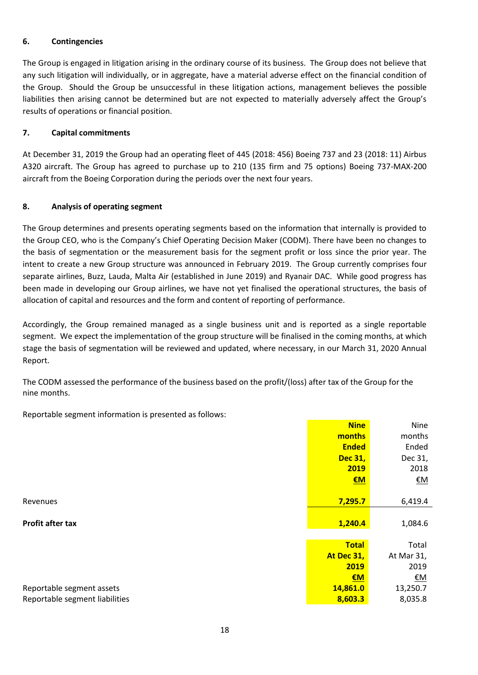## **6. Contingencies**

The Group is engaged in litigation arising in the ordinary course of its business. The Group does not believe that any such litigation will individually, or in aggregate, have a material adverse effect on the financial condition of the Group. Should the Group be unsuccessful in these litigation actions, management believes the possible liabilities then arising cannot be determined but are not expected to materially adversely affect the Group's results of operations or financial position.

## **7. Capital commitments**

At December 31, 2019 the Group had an operating fleet of 445 (2018: 456) Boeing 737 and 23 (2018: 11) Airbus A320 aircraft. The Group has agreed to purchase up to 210 (135 firm and 75 options) Boeing 737-MAX-200 aircraft from the Boeing Corporation during the periods over the next four years.

## **8. Analysis of operating segment**

The Group determines and presents operating segments based on the information that internally is provided to the Group CEO, who is the Company's Chief Operating Decision Maker (CODM). There have been no changes to the basis of segmentation or the measurement basis for the segment profit or loss since the prior year. The intent to create a new Group structure was announced in February 2019. The Group currently comprises four separate airlines, Buzz, Lauda, Malta Air (established in June 2019) and Ryanair DAC. While good progress has been made in developing our Group airlines, we have not yet finalised the operational structures, the basis of allocation of capital and resources and the form and content of reporting of performance.

Accordingly, the Group remained managed as a single business unit and is reported as a single reportable segment. We expect the implementation of the group structure will be finalised in the coming months, at which stage the basis of segmentation will be reviewed and updated, where necessary, in our March 31, 2020 Annual Report.

The CODM assessed the performance of the business based on the profit/(loss) after tax of the Group for the nine months.

Reportable segment information is presented as follows:

|                                | <b>Nine</b>    | Nine       |
|--------------------------------|----------------|------------|
|                                | months         | months     |
|                                | <b>Ended</b>   | Ended      |
|                                | <b>Dec 31,</b> | Dec 31,    |
|                                | 2019           | 2018       |
|                                | EM             | <u>€M</u>  |
|                                |                |            |
| Revenues                       | 7,295.7        | 6,419.4    |
|                                |                |            |
| <b>Profit after tax</b>        | 1,240.4        | 1,084.6    |
|                                |                |            |
|                                | <b>Total</b>   | Total      |
|                                | At Dec 31,     | At Mar 31, |
|                                | 2019           | 2019       |
|                                | EM             | <u>€M</u>  |
| Reportable segment assets      | 14,861.0       | 13,250.7   |
| Reportable segment liabilities | 8,603.3        | 8,035.8    |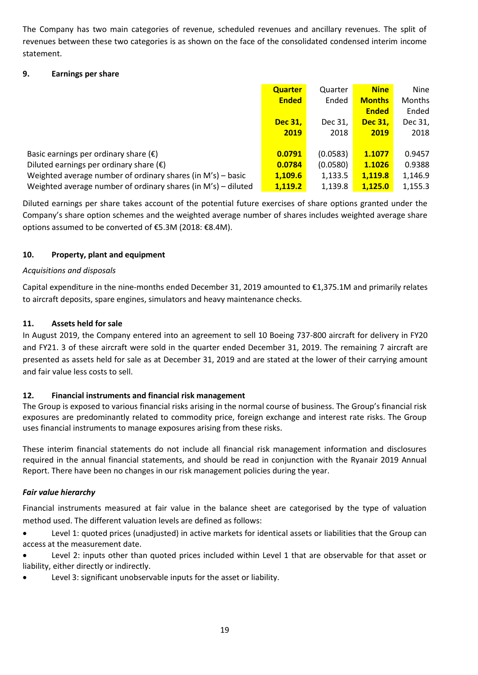The Company has two main categories of revenue, scheduled revenues and ancillary revenues. The split of revenues between these two categories is as shown on the face of the consolidated condensed interim income statement.

# **9. Earnings per share**

|                                                               | <b>Quarter</b> | Quarter  | <b>Nine</b>    | <b>Nine</b>   |
|---------------------------------------------------------------|----------------|----------|----------------|---------------|
|                                                               | <b>Ended</b>   | Ended    | <b>Months</b>  | <b>Months</b> |
|                                                               |                |          | <b>Ended</b>   | Ended         |
|                                                               | <b>Dec 31.</b> | Dec 31.  | <b>Dec 31.</b> | Dec 31,       |
|                                                               | 2019           | 2018     | 2019           | 2018          |
|                                                               |                |          |                |               |
| Basic earnings per ordinary share $(\epsilon)$                | 0.0791         | (0.0583) | 1.1077         | 0.9457        |
| Diluted earnings per ordinary share $(\epsilon)$              | 0.0784         | (0.0580) | 1.1026         | 0.9388        |
| Weighted average number of ordinary shares (in M's) – basic   | 1,109.6        | 1,133.5  | 1,119.8        | 1,146.9       |
| Weighted average number of ordinary shares (in M's) – diluted | 1.119.2        | 1,139.8  | 1.125.0        | 1,155.3       |

Diluted earnings per share takes account of the potential future exercises of share options granted under the Company's share option schemes and the weighted average number of shares includes weighted average share options assumed to be converted of €5.3M (2018: €8.4M).

# **10. Property, plant and equipment**

# *Acquisitions and disposals*

Capital expenditure in the nine-months ended December 31, 2019 amounted to €1,375.1M and primarily relates to aircraft deposits, spare engines, simulators and heavy maintenance checks.

# **11. Assets held for sale**

In August 2019, the Company entered into an agreement to sell 10 Boeing 737-800 aircraft for delivery in FY20 and FY21. 3 of these aircraft were sold in the quarter ended December 31, 2019. The remaining 7 aircraft are presented as assets held for sale as at December 31, 2019 and are stated at the lower of their carrying amount and fair value less costs to sell.

# **12. Financial instruments and financial risk management**

The Group is exposed to various financial risks arising in the normal course of business. The Group's financial risk exposures are predominantly related to commodity price, foreign exchange and interest rate risks. The Group uses financial instruments to manage exposures arising from these risks.

These interim financial statements do not include all financial risk management information and disclosures required in the annual financial statements, and should be read in conjunction with the Ryanair 2019 Annual Report. There have been no changes in our risk management policies during the year.

# *Fair value hierarchy*

Financial instruments measured at fair value in the balance sheet are categorised by the type of valuation method used. The different valuation levels are defined as follows:

• Level 1: quoted prices (unadjusted) in active markets for identical assets or liabilities that the Group can access at the measurement date.

- Level 2: inputs other than quoted prices included within Level 1 that are observable for that asset or liability, either directly or indirectly.
- Level 3: significant unobservable inputs for the asset or liability.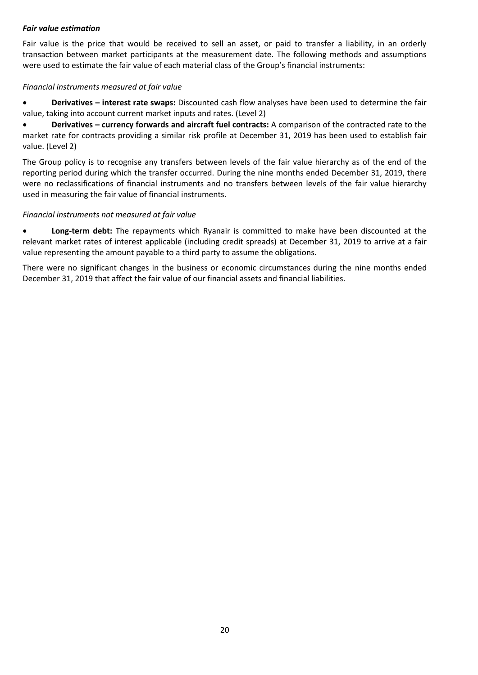# *Fair value estimation*

Fair value is the price that would be received to sell an asset, or paid to transfer a liability, in an orderly transaction between market participants at the measurement date. The following methods and assumptions were used to estimate the fair value of each material class of the Group's financial instruments:

## *Financial instruments measured at fair value*

• **Derivatives – interest rate swaps:** Discounted cash flow analyses have been used to determine the fair value, taking into account current market inputs and rates. (Level 2)

• **Derivatives – currency forwards and aircraft fuel contracts:** A comparison of the contracted rate to the market rate for contracts providing a similar risk profile at December 31, 2019 has been used to establish fair value. (Level 2)

The Group policy is to recognise any transfers between levels of the fair value hierarchy as of the end of the reporting period during which the transfer occurred. During the nine months ended December 31, 2019, there were no reclassifications of financial instruments and no transfers between levels of the fair value hierarchy used in measuring the fair value of financial instruments.

## *Financial instruments not measured at fair value*

• **Long-term debt:** The repayments which Ryanair is committed to make have been discounted at the relevant market rates of interest applicable (including credit spreads) at December 31, 2019 to arrive at a fair value representing the amount payable to a third party to assume the obligations.

There were no significant changes in the business or economic circumstances during the nine months ended December 31, 2019 that affect the fair value of our financial assets and financial liabilities.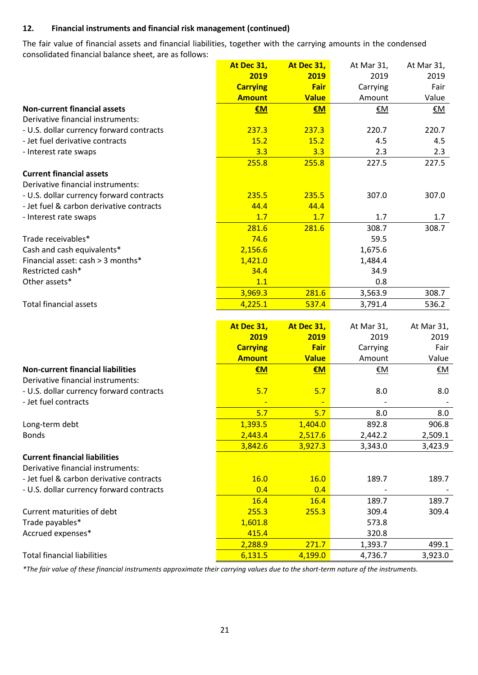# **12. Financial instruments and financial risk management (continued)**

The fair value of financial assets and financial liabilities, together with the carrying amounts in the condensed consolidated financial balance sheet, are as follows:

|                                          | At Dec 31,      | At Dec 31,   | At Mar 31, | At Mar 31, |
|------------------------------------------|-----------------|--------------|------------|------------|
|                                          | 2019            | 2019         | 2019       | 2019       |
|                                          | <b>Carrying</b> | Fair         | Carrying   | Fair       |
|                                          | <b>Amount</b>   | <b>Value</b> | Amount     | Value      |
| <b>Non-current financial assets</b>      | €M              | €M           | €M         | <u>€M</u>  |
| Derivative financial instruments:        |                 |              |            |            |
| - U.S. dollar currency forward contracts | 237.3           | 237.3        | 220.7      | 220.7      |
| - Jet fuel derivative contracts          | 15.2            | 15.2         | 4.5        | 4.5        |
| - Interest rate swaps                    | 3.3             | 3.3          | 2.3        | 2.3        |
|                                          | 255.8           | 255.8        | 227.5      | 227.5      |
| <b>Current financial assets</b>          |                 |              |            |            |
| Derivative financial instruments:        |                 |              |            |            |
| - U.S. dollar currency forward contracts | 235.5           | 235.5        | 307.0      | 307.0      |
| - Jet fuel & carbon derivative contracts | 44.4            | 44.4         |            |            |
| - Interest rate swaps                    | 1.7             | 1.7          | 1.7        | 1.7        |
|                                          | 281.6           | 281.6        | 308.7      | 308.7      |
| Trade receivables*                       | 74.6            |              | 59.5       |            |
| Cash and cash equivalents*               | 2,156.6         |              | 1,675.6    |            |
| Financial asset: cash > 3 months*        | 1,421.0         |              | 1,484.4    |            |
| Restricted cash*                         | 34.4            |              | 34.9       |            |
| Other assets*                            | 1.1             |              | 0.8        |            |
|                                          | 3,969.3         | 281.6        | 3,563.9    | 308.7      |
| <b>Total financial assets</b>            | 4,225.1         | 537.4        | 3,791.4    | 536.2      |
|                                          |                 |              |            |            |
|                                          | At Dec 31,      | At Dec 31,   | At Mar 31, | At Mar 31, |
|                                          | 2019            | 2019         | 2019       | 2019       |
|                                          | <b>Carrying</b> | <b>Fair</b>  | Carrying   | Fair       |
|                                          | <b>Amount</b>   | <b>Value</b> | Amount     | Value      |
| <b>Non-current financial liabilities</b> | €M              | €M           | €M         | <u>€M</u>  |
| Derivative financial instruments:        |                 |              |            |            |
| - U.S. dollar currency forward contracts | 5.7             | 5.7          | 8.0        | 8.0        |
| - Jet fuel contracts                     |                 |              |            |            |
|                                          | 5.7             | 5.7          | 8.0        | 8.0        |
| Long-term debt                           | 1,393.5         | 1,404.0      | 892.8      | 906.8      |
| <b>Bonds</b>                             | 2,443.4         | 2,517.6      | 2,442.2    | 2,509.1    |
|                                          | 3,842.6         | 3,927.3      | 3,343.0    | 3,423.9    |
| <b>Current financial liabilities</b>     |                 |              |            |            |
| Derivative financial instruments:        |                 |              |            |            |
| - Jet fuel & carbon derivative contracts | 16.0            | 16.0         | 189.7      | 189.7      |
| - U.S. dollar currency forward contracts | 0.4             | 0.4          |            |            |
|                                          | 16.4            | 16.4         | 189.7      | 189.7      |
| Current maturities of debt               | 255.3           | 255.3        | 309.4      | 309.4      |
| Trade payables*                          | 1,601.8         |              | 573.8      |            |
| Accrued expenses*                        | 415.4           |              | 320.8      |            |
|                                          | 2,288.9         | 271.7        | 1,393.7    | 499.1      |
| <b>Total financial liabilities</b>       | 6,131.5         | 4,199.0      | 4,736.7    | 3,923.0    |
|                                          |                 |              |            |            |

*\*The fair value of these financial instruments approximate their carrying values due to the short-term nature of the instruments.*